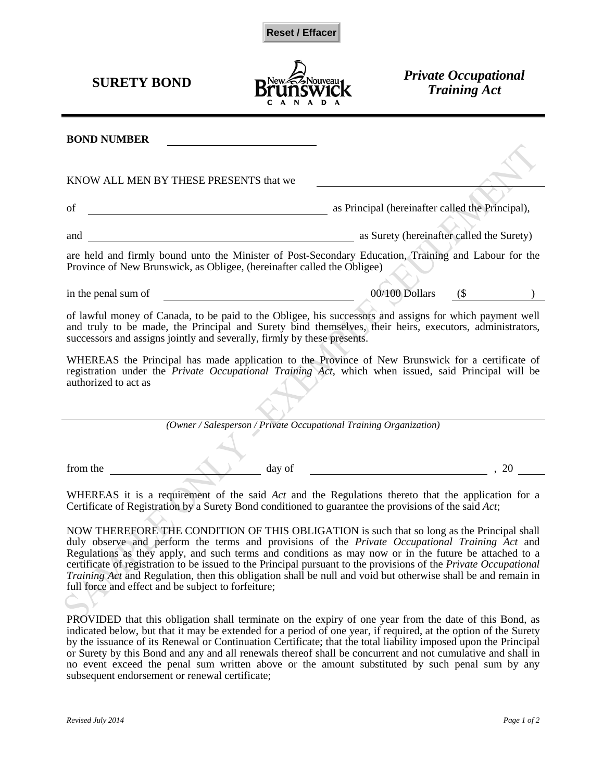



**SURETY BOND Private Occupational** *Training Act*

| <b>BOND NUMBER</b>                                                                                                                                                                                                                                                                            |                                                  |  |
|-----------------------------------------------------------------------------------------------------------------------------------------------------------------------------------------------------------------------------------------------------------------------------------------------|--------------------------------------------------|--|
| KNOW ALL MEN BY THESE PRESENTS that we                                                                                                                                                                                                                                                        |                                                  |  |
| of                                                                                                                                                                                                                                                                                            | as Principal (hereinafter called the Principal), |  |
| and                                                                                                                                                                                                                                                                                           | as Surety (hereinafter called the Surety)        |  |
| are held and firmly bound unto the Minister of Post-Secondary Education, Training and Labour for the<br>Province of New Brunswick, as Obligee, (hereinafter called the Obligee)                                                                                                               |                                                  |  |
| in the penal sum of                                                                                                                                                                                                                                                                           | 00/100 Dollars<br>(                              |  |
| of lawful money of Canada, to be paid to the Obligee, his successors and assigns for which payment well<br>and truly to be made, the Principal and Surety bind themselves, their heirs, executors, administrators,<br>successors and assigns jointly and severally, firmly by these presents. |                                                  |  |
| WHEREAS the Principal has made application to the Province of New Brunswick for a certificate of<br>registration under the Private Occupational Training Act, which when issued, said Principal will be<br>authorized to act as                                                               |                                                  |  |
| (Owner / Salesperson / Private Occupational Training Organization)                                                                                                                                                                                                                            |                                                  |  |
| from the<br>day of                                                                                                                                                                                                                                                                            | .20                                              |  |
| WHEREAS it is a requirement of the said Act and the Regulations thereto that the application for a<br>Certificate of Registration by a Surety Bond conditioned to guarantee the provisions of the said Act;                                                                                   |                                                  |  |

NOW THEREFORE THE CONDITION OF THIS OBLIGATION is such that so long as the Principal shall duly observe and perform the terms and provisions of the *Private Occupational Training Act* and Regulations as they apply, and such terms and conditions as may now or in the future be attached to a certificate of registration to be issued to the Principal pursuant to the provisions of the *Private Occupational Training Act* and Regulation, then this obligation shall be null and void but otherwise shall be and remain in full force and effect and be subject to forfeiture;

PROVIDED that this obligation shall terminate on the expiry of one year from the date of this Bond, as indicated below, but that it may be extended for a period of one year, if required, at the option of the Surety by the issuance of its Renewal or Continuation Certificate; that the total liability imposed upon the Principal or Surety by this Bond and any and all renewals thereof shall be concurrent and not cumulative and shall in no event exceed the penal sum written above or the amount substituted by such penal sum by any subsequent endorsement or renewal certificate;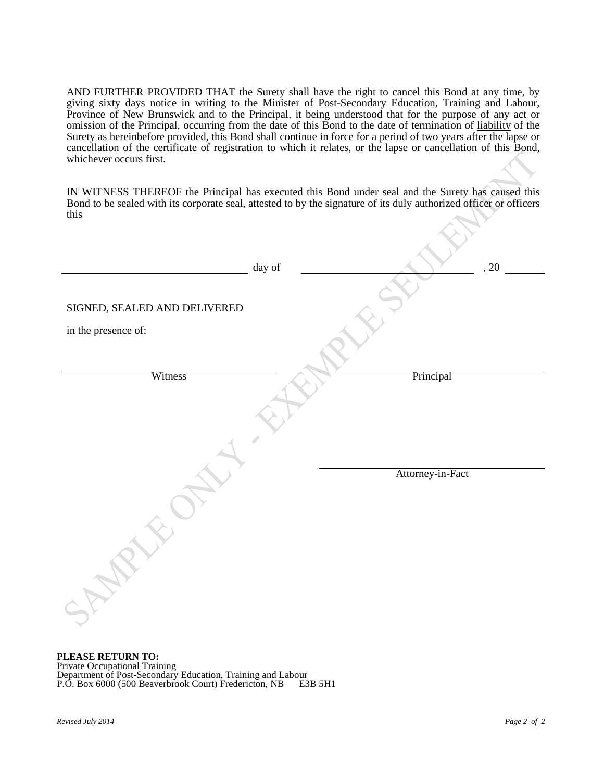AND FURTHER PROVIDED THAT the Surety shall have the right to cancel this Bond at any time, by giving sixty days notice in writing to the Minister of Post-Secondary Education, Training and Labour, Province of New Brunswick and to the Principal, it being understood that for the purpose of any act or omission of the Principal, occurring from the date of this Bond to the date of termination of liability of the Surety as hereinbefore provided, this Bond shall continue in force for a period of two years after the lapse or cancellation of the certificate of registration to which it relates, or the lapse or cancellation of this Bond, whichever occurs first.

IN WITNESS THEREOF the Principal has executed this Bond under seal and the Surety has caused this Bond to be sealed with its corporate seal, attested to by the signature of its duly authorized officer or officers this

|                                                     | day of |                  | , 20 |
|-----------------------------------------------------|--------|------------------|------|
| SIGNED, SEALED AND DELIVERED<br>in the presence of: |        |                  |      |
| Witness                                             |        | Principal        |      |
|                                                     |        |                  |      |
|                                                     |        | Attorney-in-Fact |      |
|                                                     |        |                  |      |

**PLEASE RETURN TO:** Private Occupational Training Department of Post-Secondary Education, Training and Labour P.O. Box 6000 (500 Beaverbrook Court) Fredericton, NB E3B 5H1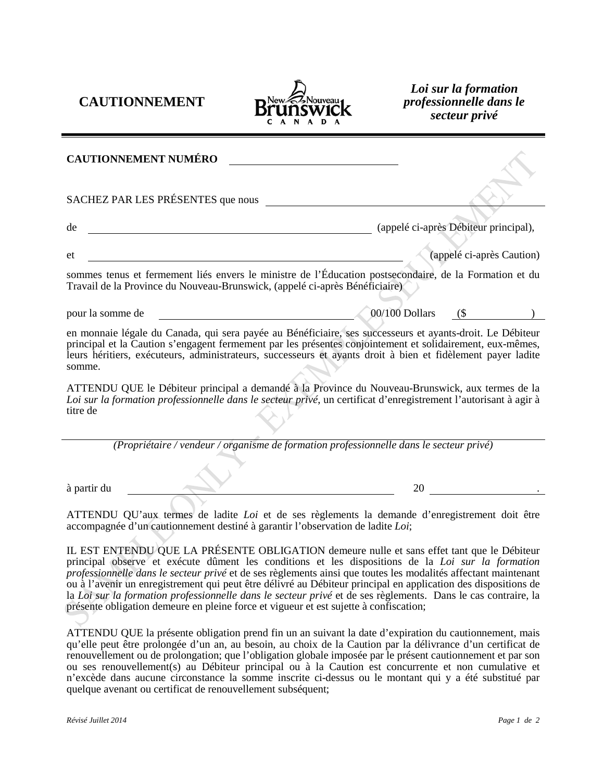**CAUTIONNEMENT**



*Loi sur la formation professionnelle dans le secteur privé*

| <b>CAUTIONNEMENT NUMÉRO</b>                                                                                                                                                                                                                                                                                                                     |                |                                       |  |
|-------------------------------------------------------------------------------------------------------------------------------------------------------------------------------------------------------------------------------------------------------------------------------------------------------------------------------------------------|----------------|---------------------------------------|--|
| SACHEZ PAR LES PRÉSENTES que nous                                                                                                                                                                                                                                                                                                               |                |                                       |  |
| de                                                                                                                                                                                                                                                                                                                                              |                | (appelé ci-après Débiteur principal), |  |
| et                                                                                                                                                                                                                                                                                                                                              |                | (appelé ci-après Caution)             |  |
| sommes tenus et fermement liés envers le ministre de l'Éducation postsecondaire, de la Formation et du<br>Travail de la Province du Nouveau-Brunswick, (appelé ci-après Bénéficiaire)                                                                                                                                                           |                |                                       |  |
| pour la somme de                                                                                                                                                                                                                                                                                                                                | 00/100 Dollars | $($ \$                                |  |
| en monnaie légale du Canada, qui sera payée au Bénéficiaire, ses successeurs et ayants-droit. Le Débiteur<br>principal et la Caution s'engagent fermement par les présentes conjointement et solidairement, eux-mêmes,<br>leurs héritiers, exécuteurs, administrateurs, successeurs et ayants droit à bien et fidèlement payer ladite<br>somme. |                |                                       |  |
| ATTENDU QUE le Débiteur principal a demandé à la Province du Nouveau-Brunswick, aux termes de la<br>Loi sur la formation professionnelle dans le secteur privé, un certificat d'enregistrement l'autorisant à agir à<br>titre de                                                                                                                |                |                                       |  |
| (Propriétaire / vendeur / organisme de formation professionnelle dans le secteur privé)                                                                                                                                                                                                                                                         |                |                                       |  |
| à partir du                                                                                                                                                                                                                                                                                                                                     | 20             |                                       |  |
| ATTENDU QU'aux termes de ladite Loi et de ses règlements la demande d'enregistrement doit être                                                                                                                                                                                                                                                  |                |                                       |  |

ATTENDU QU'aux termes de ladite *Loi* et de ses règlements la demande d'enregistrement doit être accompagnée d'un cautionnement destiné à garantir l'observation de ladite *Loi*;

IL EST ENTENDU QUE LA PRÉSENTE OBLIGATION demeure nulle et sans effet tant que le Débiteur principal observe et exécute dûment les conditions et les dispositions de la *Loi sur la formation professionnelle dans le secteur privé* et de ses règlements ainsi que toutes les modalités affectant maintenant ou à l'avenir un enregistrement qui peut être délivré au Débiteur principal en application des dispositions de la *Loi sur la formation professionnelle dans le secteur privé* et de ses règlements. Dans le cas contraire, la présente obligation demeure en pleine force et vigueur et est sujette à confiscation;

ATTENDU QUE la présente obligation prend fin un an suivant la date d'expiration du cautionnement, mais qu'elle peut être prolongée d'un an, au besoin, au choix de la Caution par la délivrance d'un certificat de renouvellement ou de prolongation; que l'obligation globale imposée par le présent cautionnement et par son ou ses renouvellement(s) au Débiteur principal ou à la Caution est concurrente et non cumulative et n'excède dans aucune circonstance la somme inscrite ci-dessus ou le montant qui y a été substitué par quelque avenant ou certificat de renouvellement subséquent;